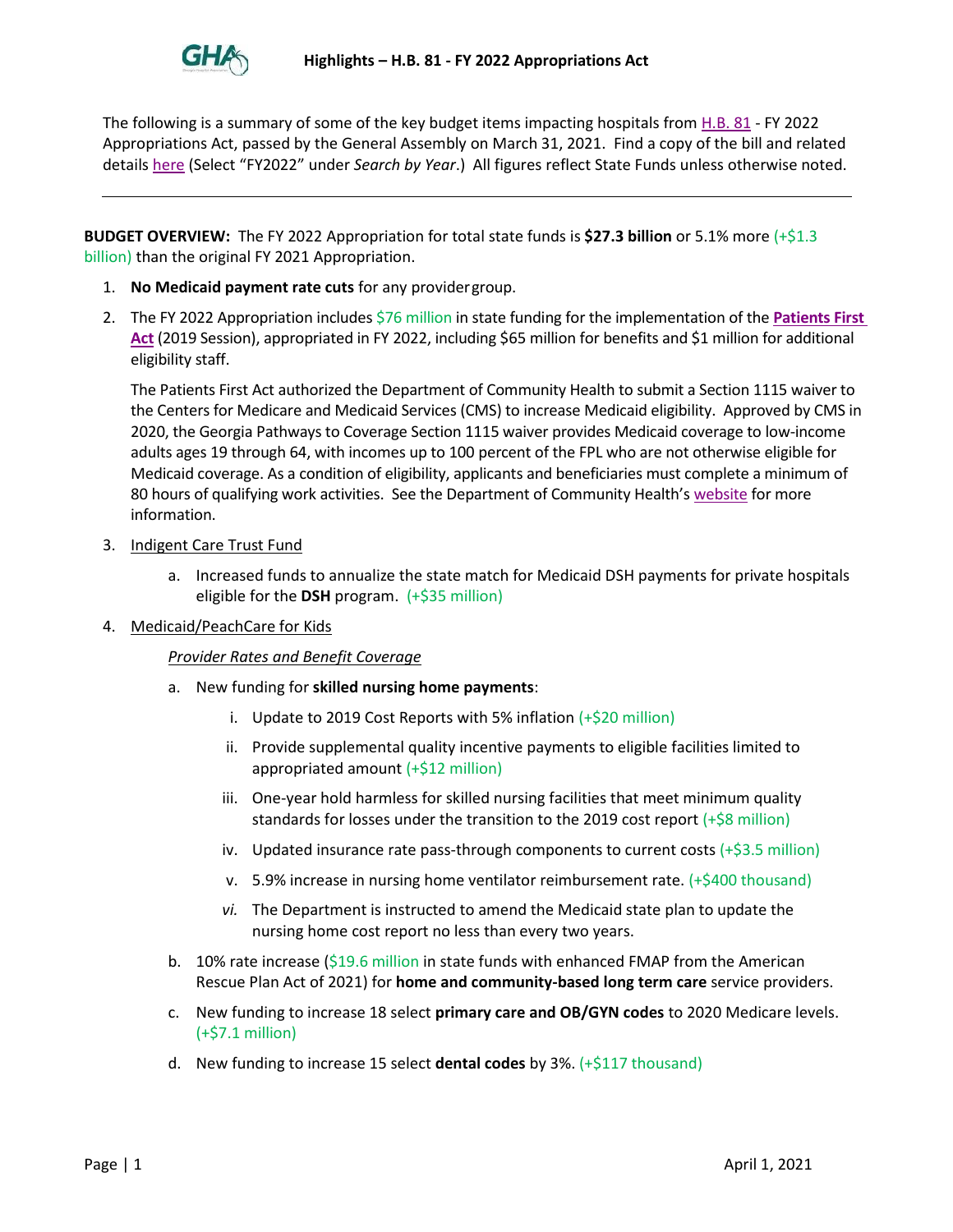

The following is a summary of some of the key budget items impacting hospitals fro[m H.B. 81](https://www.legis.ga.gov/legislation/58911) - FY 2022 Appropriations Act, passed by the General Assembly on March 31, 2021. Find a copy of the bill and related details [here](https://www.legis.ga.gov/senate/budget-and-evaluation-office) (Select "FY2022" under *Search by Year*.) All figures reflect State Funds unless otherwise noted.

**BUDGET OVERVIEW:** The FY 2022 Appropriation for total state funds is **\$27.3 billion** or 5.1% more (+\$1.3 billion) than the original FY 2021 Appropriation.

- 1. **No Medicaid payment rate cuts** for any providergroup.
- 2. The FY 2022 Appropriation includes \$76 million in state funding for the implementation of the **[Patients First](https://www.legis.ga.gov/legislation/54962)  [Act](https://www.legis.ga.gov/legislation/54962)** (2019 Session), appropriated in FY 2022, including \$65 million for benefits and \$1 million for additional eligibility staff.

The Patients First Act authorized the Department of Community Health to submit a Section 1115 waiver to the Centers for Medicare and Medicaid Services (CMS) to increase Medicaid eligibility. Approved by CMS in 2020, the Georgia Pathways to Coverage Section 1115 waiver provides Medicaid coverage to low-income adults ages 19 through 64, with incomes up to 100 percent of the FPL who are not otherwise eligible for Medicaid coverage. As a condition of eligibility, applicants and beneficiaries must complete a minimum of 80 hours of qualifying work activities. See the Department of Community Health's [website](https://medicaid.georgia.gov/patientsfirst) for more information.

- 3. Indigent Care Trust Fund
	- a. Increased funds to annualize the state match for Medicaid DSH payments for private hospitals eligible for the **DSH** program. (+\$35 million)
- 4. Medicaid/PeachCare for Kids

# *Provider Rates and Benefit Coverage*

- a. New funding for **skilled nursing home payments**:
	- i. Update to 2019 Cost Reports with 5% inflation (+\$20 million)
	- ii. Provide supplemental quality incentive payments to eligible facilities limited to appropriated amount (+\$12 million)
	- iii. One-year hold harmless for skilled nursing facilities that meet minimum quality standards for losses under the transition to the 2019 cost report  $(+\frac{5}{8}$  million)
	- iv. Updated insurance rate pass-through components to current costs  $(+\xi 3.5 \text{ million})$
	- v. 5.9% increase in nursing home ventilator reimbursement rate.  $(+\frac{6}{400}$  thousand)
	- *vi.* The Department is instructed to amend the Medicaid state plan to update the nursing home cost report no less than every two years.
- b. 10% rate increase (\$19.6 million in state funds with enhanced FMAP from the American Rescue Plan Act of 2021) for **home and community-based long term care** service providers.
- c. New funding to increase 18 select **primary care and OB/GYN codes** to 2020 Medicare levels. (+\$7.1 million)
- d. New funding to increase 15 select **dental codes** by 3%. (+\$117 thousand)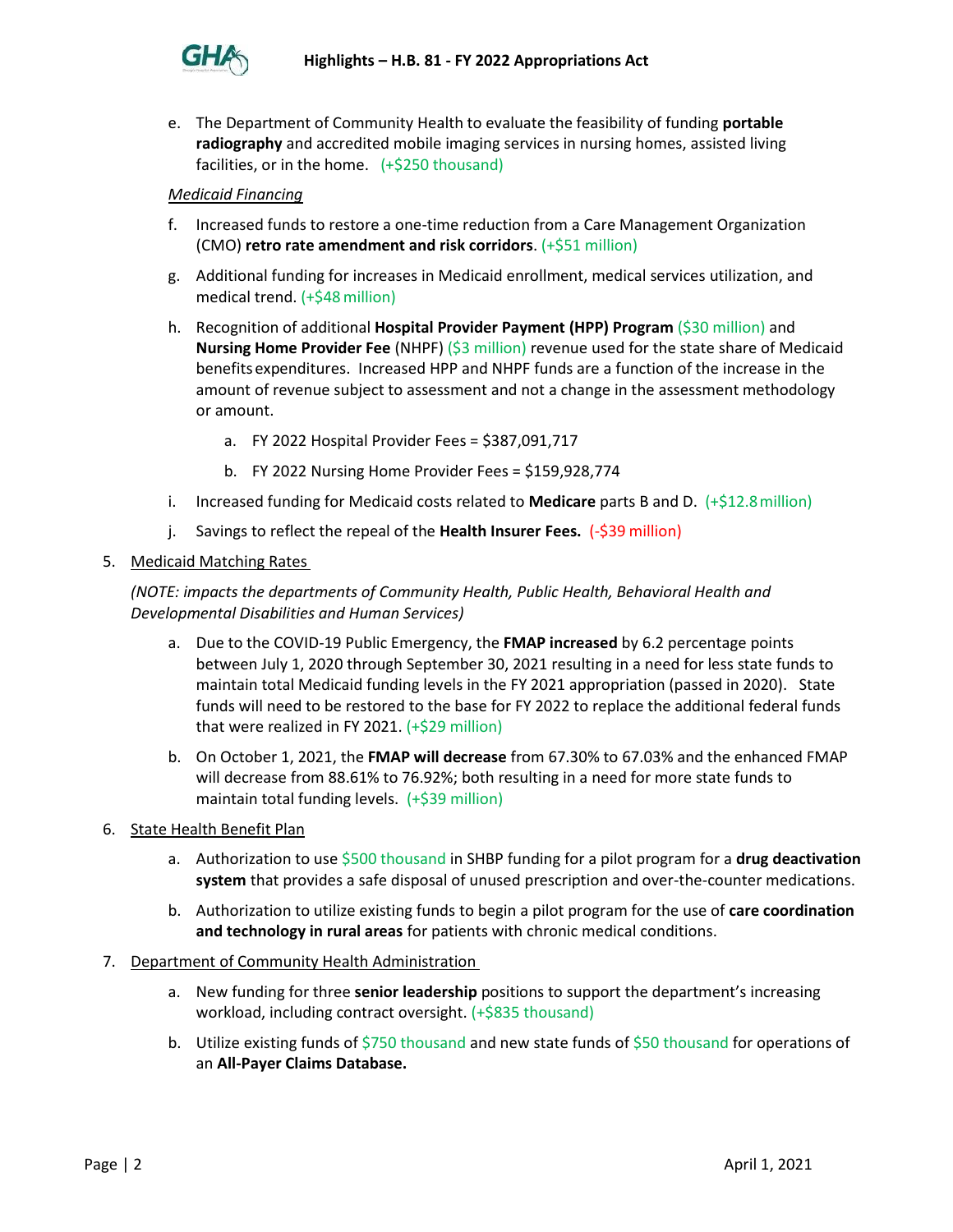

e. The Department of Community Health to evaluate the feasibility of funding **portable radiography** and accredited mobile imaging services in nursing homes, assisted living facilities, or in the home. (+\$250 thousand)

# *Medicaid Financing*

- f. Increased funds to restore a one-time reduction from a Care Management Organization (CMO) **retro rate amendment and risk corridors**. (+\$51 million)
- g. Additional funding for increases in Medicaid enrollment, medical services utilization, and medical trend. (+\$48million)
- h. Recognition of additional **Hospital Provider Payment (HPP) Program** (\$30 million) and **Nursing Home Provider Fee** (NHPF) (\$3 million) revenue used for the state share of Medicaid benefitsexpenditures. Increased HPP and NHPF funds are a function of the increase in the amount of revenue subject to assessment and not a change in the assessment methodology or amount.
	- a. FY 2022 Hospital Provider Fees = \$387,091,717
	- b. FY 2022 Nursing Home Provider Fees = \$159,928,774
- i. Increased funding for Medicaid costs related to **Medicare** parts B and D. (+\$12.8million)
- j. Savings to reflect the repeal of the **Health Insurer Fees.** (-\$39 million)
- 5. Medicaid Matching Rates

*(NOTE: impacts the departments of Community Health, Public Health, Behavioral Health and Developmental Disabilities and Human Services)*

- a. Due to the COVID-19 Public Emergency, the **FMAP increased** by 6.2 percentage points between July 1, 2020 through September 30, 2021 resulting in a need for less state funds to maintain total Medicaid funding levels in the FY 2021 appropriation (passed in 2020). State funds will need to be restored to the base for FY 2022 to replace the additional federal funds that were realized in FY 2021.  $(+\frac{2}{9}29 \text{ million})$
- b. On October 1, 2021, the **FMAP will decrease** from 67.30% to 67.03% and the enhanced FMAP will decrease from 88.61% to 76.92%; both resulting in a need for more state funds to maintain total funding levels. (+\$39 million)
- 6. State Health Benefit Plan
	- a. Authorization to use \$500 thousand in SHBP funding for a pilot program for a **drug deactivation system** that provides a safe disposal of unused prescription and over-the-counter medications.
	- b. Authorization to utilize existing funds to begin a pilot program for the use of **care coordination and technology in rural areas** for patients with chronic medical conditions.
- 7. Department of Community Health Administration
	- a. New funding for three **senior leadership** positions to support the department's increasing workload, including contract oversight. (+\$835 thousand)
	- b. Utilize existing funds of \$750 thousand and new state funds of \$50 thousand for operations of an **All-Payer Claims Database.**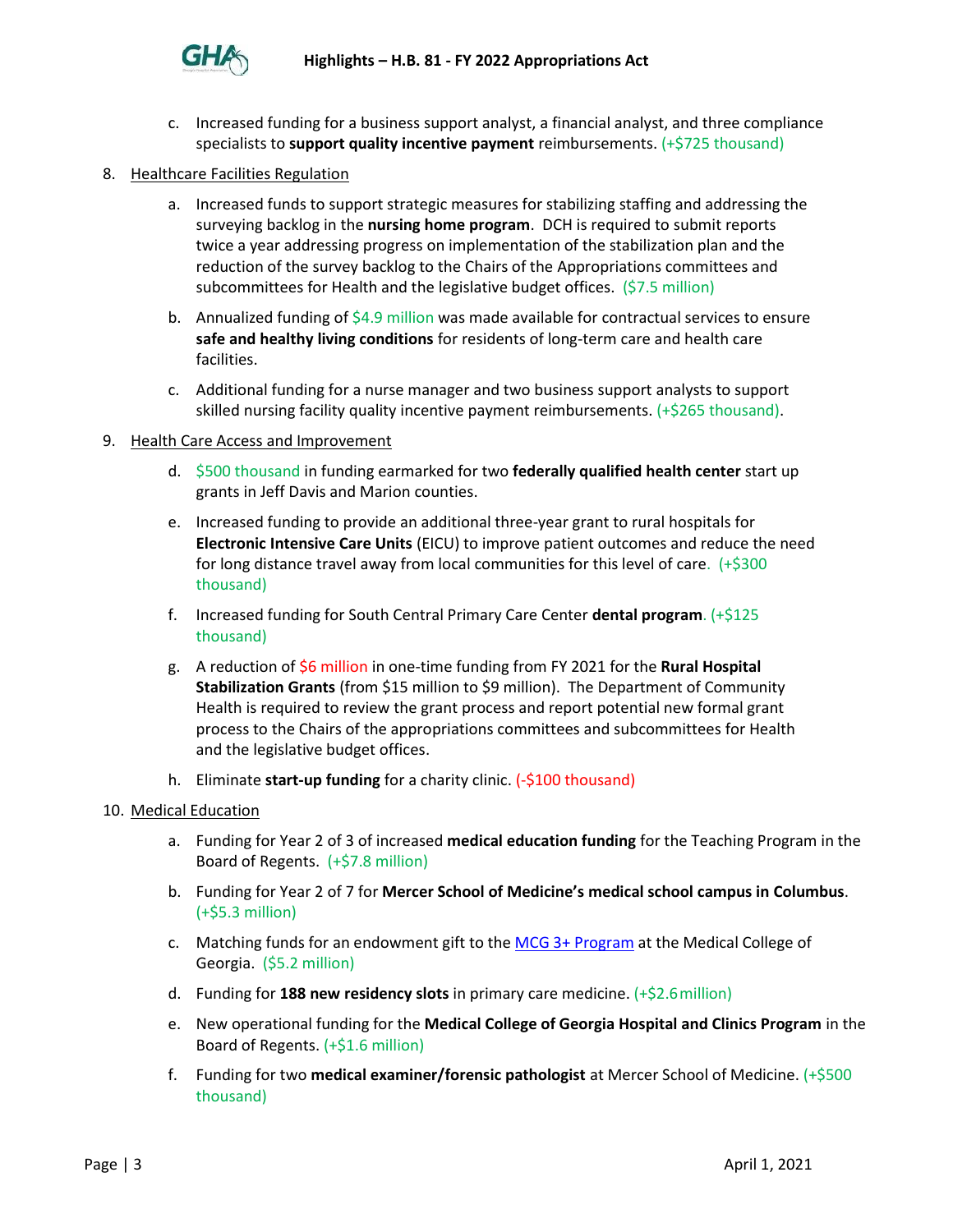

- c. Increased funding for a business support analyst, a financial analyst, and three compliance specialists to **support quality incentive payment** reimbursements. (+\$725 thousand)
- 8. Healthcare Facilities Regulation
	- a. Increased funds to support strategic measures for stabilizing staffing and addressing the surveying backlog in the **nursing home program**. DCH is required to submit reports twice a year addressing progress on implementation of the stabilization plan and the reduction of the survey backlog to the Chairs of the Appropriations committees and subcommittees for Health and the legislative budget offices. (\$7.5 million)
	- b. Annualized funding of  $$4.9$  million was made available for contractual services to ensure **safe and healthy living conditions** for residents of long-term care and health care facilities.
	- c. Additional funding for a nurse manager and two business support analysts to support skilled nursing facility quality incentive payment reimbursements. (+\$265 thousand).

#### 9. Health Care Access and Improvement

- d. \$500 thousand in funding earmarked for two **federally qualified health center** start up grants in Jeff Davis and Marion counties.
- e. Increased funding to provide an additional three-year grant to rural hospitals for **Electronic Intensive Care Units** (EICU) to improve patient outcomes and reduce the need for long distance travel away from local communities for this level of care. (+\$300 thousand)
- f. Increased funding for South Central Primary Care Center **dental program**. (+\$125 thousand)
- g. A reduction of \$6 million in one-time funding from FY 2021 for the **Rural Hospital Stabilization Grants** (from \$15 million to \$9 million). The Department of Community Health is required to review the grant process and report potential new formal grant process to the Chairs of the appropriations committees and subcommittees for Health and the legislative budget offices.
- h. Eliminate **start-up funding** for a charity clinic. (-\$100 thousand)

#### 10. Medical Education

- a. Funding for Year 2 of 3 of increased **medical education funding** for the Teaching Program in the Board of Regents. (+\$7.8 million)
- b. Funding for Year 2 of 7 for **Mercer School of Medicine's medical school campus in Columbus**. (+\$5.3 million)
- c. Matching funds for an endowment gift to the [MCG 3+ Program](https://www.augusta.edu/mcg/admissions/mcg3_plus/index.php#:~:text=Medical%20College%20of%20Georgia%20MCG%203%2B%20Program%3A%20Tailor-made,development%20of%20a%20novel%20curriculum%2C%20called%20MCG%203%2B.) at the Medical College of Georgia. (\$5.2 million)
- d. Funding for **188 new residency slots** in primary care medicine. (+\$2.6million)
- e. New operational funding for the **Medical College of Georgia Hospital and Clinics Program** in the Board of Regents. (+\$1.6 million)
- f. Funding for two **medical examiner/forensic pathologist** at Mercer School of Medicine. (+\$500 thousand)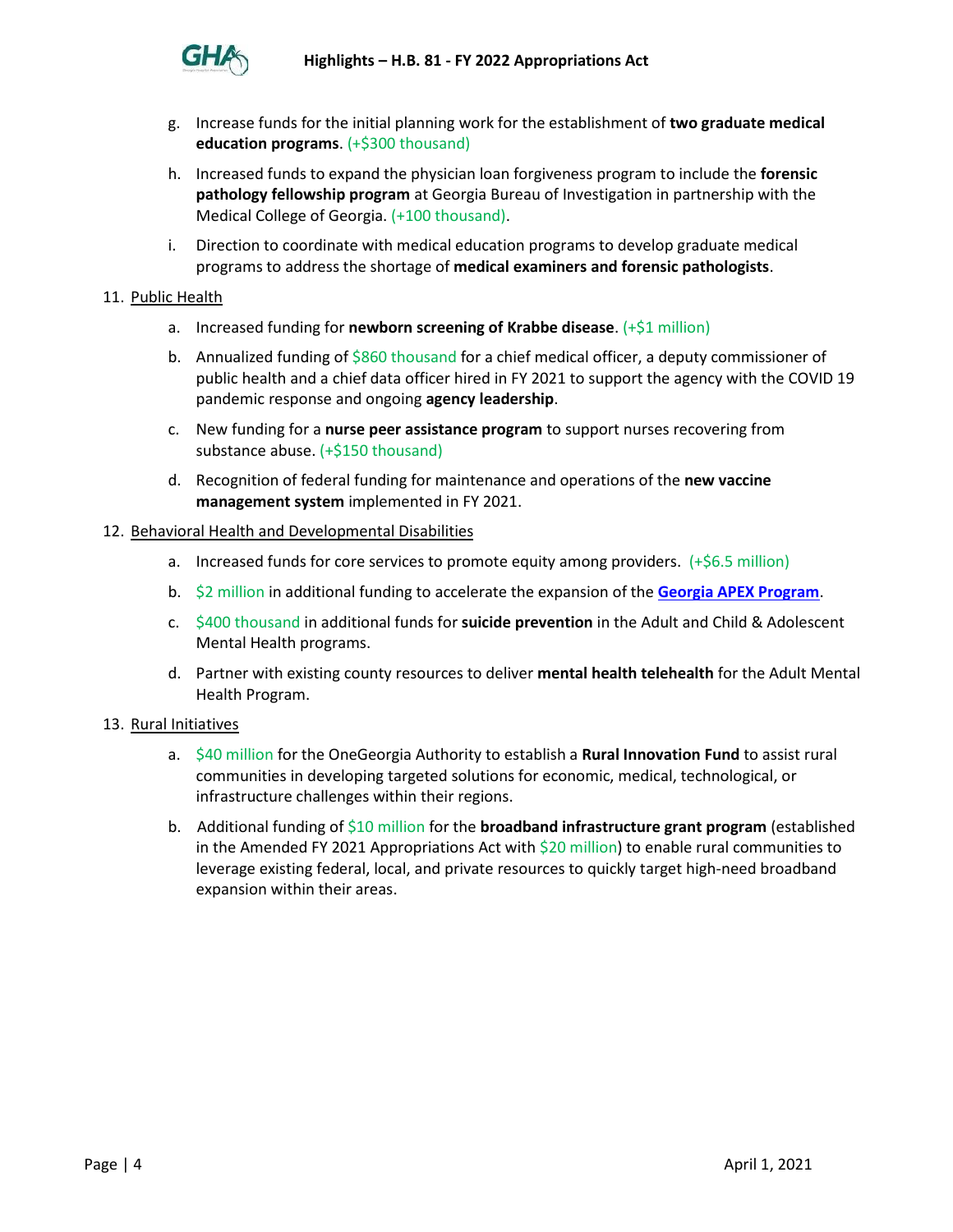

- g. Increase funds for the initial planning work for the establishment of **two graduate medical education programs**. (+\$300 thousand)
- h. Increased funds to expand the physician loan forgiveness program to include the **forensic pathology fellowship program** at Georgia Bureau of Investigation in partnership with the Medical College of Georgia. (+100 thousand).
- i. Direction to coordinate with medical education programs to develop graduate medical programs to address the shortage of **medical examiners and forensic pathologists**.

# 11. Public Health

- a. Increased funding for **newborn screening of Krabbe disease**. (+\$1 million)
- b. Annualized funding of  $$860$  thousand for a chief medical officer, a deputy commissioner of public health and a chief data officer hired in FY 2021 to support the agency with the COVID 19 pandemic response and ongoing **agency leadership**.
- c. New funding for a **nurse peer assistance program** to support nurses recovering from substance abuse. (+\$150 thousand)
- d. Recognition of federal funding for maintenance and operations of the **new vaccine management system** implemented in FY 2021.

# 12. Behavioral Health and Developmental Disabilities

- a. Increased funds for core services to promote equity among providers.  $(+\xi 6.5$  million)
- b. \$2 million in additional funding to accelerate the expansion of the **[Georgia APEX Program](https://dbhdd.georgia.gov/georgia-apex-program)**.
- c. \$400 thousand in additional funds for **suicide prevention** in the Adult and Child & Adolescent Mental Health programs.
- d. Partner with existing county resources to deliver **mental health telehealth** for the Adult Mental Health Program.

#### 13. Rural Initiatives

- a. \$40 million for the OneGeorgia Authority to establish a **Rural Innovation Fund** to assist rural communities in developing targeted solutions for economic, medical, technological, or infrastructure challenges within their regions.
- b. Additional funding of \$10 million for the **broadband infrastructure grant program** (established in the Amended FY 2021 Appropriations Act with \$20 million) to enable rural communities to leverage existing federal, local, and private resources to quickly target high-need broadband expansion within their areas.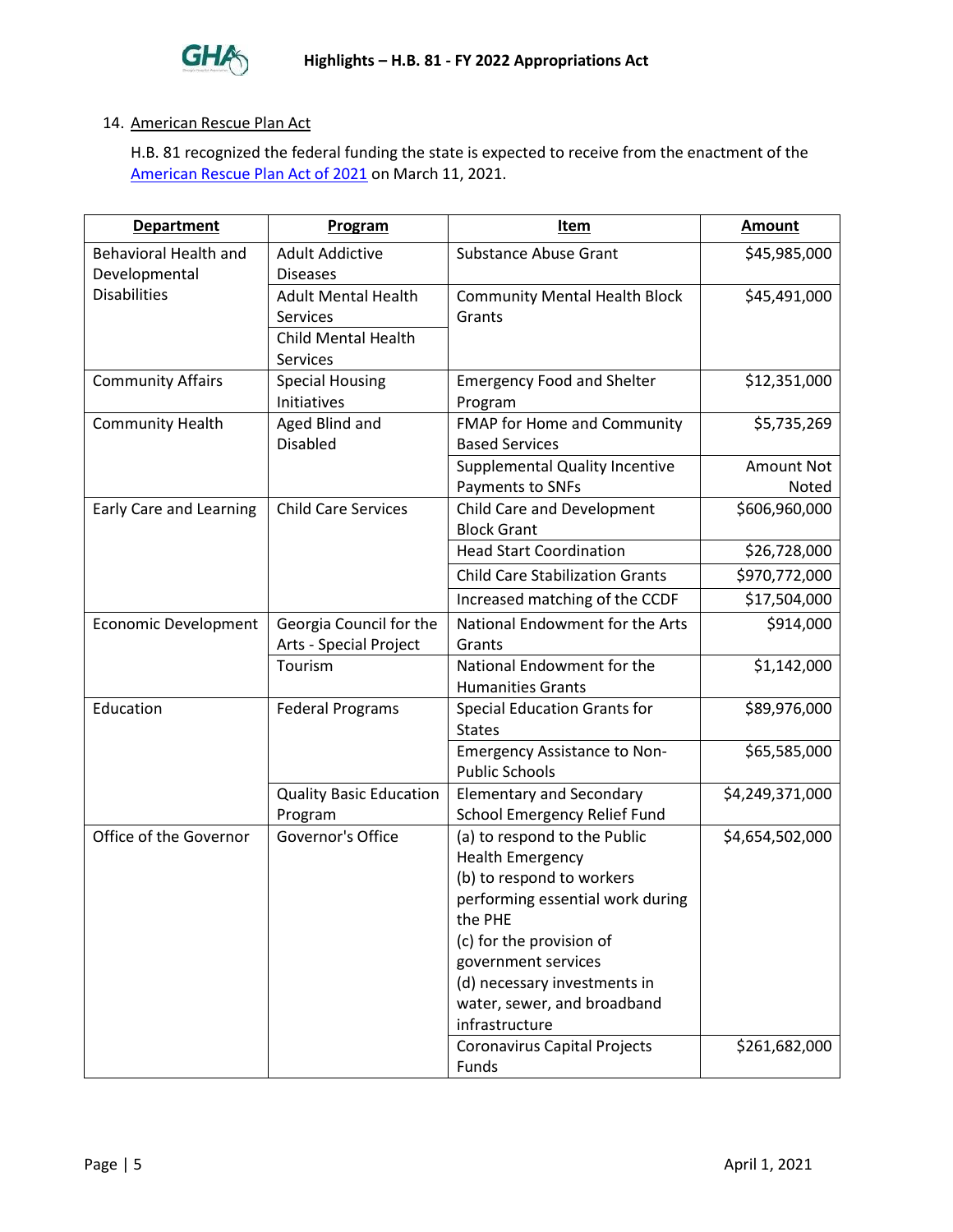

## 14. American Rescue Plan Act

H.B. 81 recognized the federal funding the state is expected to receive from the enactment of the [American Rescue Plan Act of 2021](https://www.congress.gov/bill/117th-congress/house-bill/1319) on March 11, 2021.

| <b>Department</b>                             | Program                                                                                 | Item                                                                                                                                                                                                                                                                    | <b>Amount</b>              |
|-----------------------------------------------|-----------------------------------------------------------------------------------------|-------------------------------------------------------------------------------------------------------------------------------------------------------------------------------------------------------------------------------------------------------------------------|----------------------------|
| <b>Behavioral Health and</b><br>Developmental | <b>Adult Addictive</b><br><b>Diseases</b>                                               | <b>Substance Abuse Grant</b>                                                                                                                                                                                                                                            | \$45,985,000               |
| <b>Disabilities</b>                           | <b>Adult Mental Health</b><br>Services<br><b>Child Mental Health</b><br><b>Services</b> | <b>Community Mental Health Block</b><br>Grants                                                                                                                                                                                                                          | \$45,491,000               |
| <b>Community Affairs</b>                      | <b>Special Housing</b><br>Initiatives                                                   | <b>Emergency Food and Shelter</b><br>Program                                                                                                                                                                                                                            | \$12,351,000               |
| <b>Community Health</b>                       | Aged Blind and<br><b>Disabled</b>                                                       | FMAP for Home and Community<br><b>Based Services</b>                                                                                                                                                                                                                    | \$5,735,269                |
|                                               |                                                                                         | <b>Supplemental Quality Incentive</b><br>Payments to SNFs                                                                                                                                                                                                               | <b>Amount Not</b><br>Noted |
| Early Care and Learning                       | <b>Child Care Services</b>                                                              | Child Care and Development<br><b>Block Grant</b>                                                                                                                                                                                                                        | \$606,960,000              |
|                                               |                                                                                         | <b>Head Start Coordination</b>                                                                                                                                                                                                                                          | \$26,728,000               |
|                                               |                                                                                         | <b>Child Care Stabilization Grants</b>                                                                                                                                                                                                                                  | \$970,772,000              |
|                                               |                                                                                         | Increased matching of the CCDF                                                                                                                                                                                                                                          | \$17,504,000               |
| <b>Economic Development</b>                   | Georgia Council for the<br>Arts - Special Project                                       | National Endowment for the Arts<br>Grants                                                                                                                                                                                                                               | \$914,000                  |
|                                               | Tourism                                                                                 | National Endowment for the<br><b>Humanities Grants</b>                                                                                                                                                                                                                  | \$1,142,000                |
| Education                                     | <b>Federal Programs</b>                                                                 | <b>Special Education Grants for</b><br><b>States</b>                                                                                                                                                                                                                    | \$89,976,000               |
|                                               |                                                                                         | <b>Emergency Assistance to Non-</b><br><b>Public Schools</b>                                                                                                                                                                                                            | \$65,585,000               |
|                                               | <b>Quality Basic Education</b><br>Program                                               | <b>Elementary and Secondary</b><br>School Emergency Relief Fund                                                                                                                                                                                                         | \$4,249,371,000            |
| Office of the Governor                        | Governor's Office                                                                       | (a) to respond to the Public<br><b>Health Emergency</b><br>(b) to respond to workers<br>performing essential work during<br>the PHE<br>(c) for the provision of<br>government services<br>(d) necessary investments in<br>water, sewer, and broadband<br>infrastructure | \$4,654,502,000            |
|                                               |                                                                                         | Coronavirus Capital Projects<br>Funds                                                                                                                                                                                                                                   | \$261,682,000              |